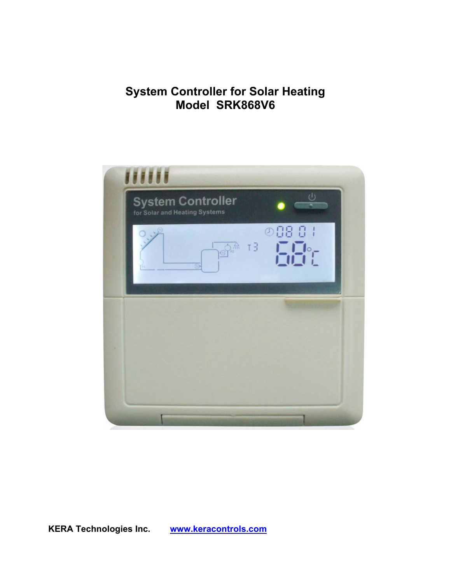# **System Controller for Solar Heating Model SRK868V6**



**KERA Technologies Inc. [www.keracontrols.com](http://www.keracontrols.com/)**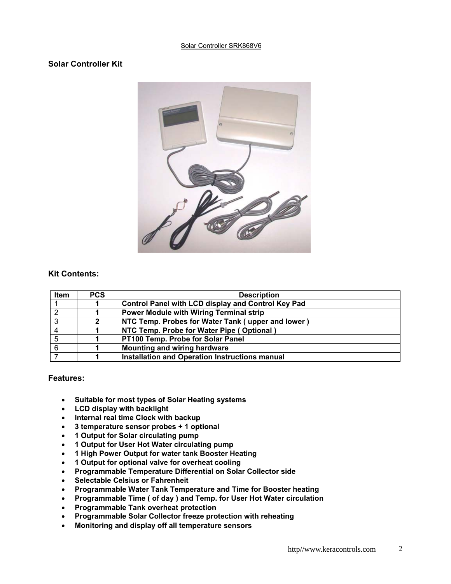#### Solar Controller SRK868V6

## **Solar Controller Kit**



### **Kit Contents:**

| Item | <b>PCS</b> | <b>Description</b>                                    |  |
|------|------------|-------------------------------------------------------|--|
|      |            | Control Panel with LCD display and Control Key Pad    |  |
| ົ    |            | <b>Power Module with Wiring Terminal strip</b>        |  |
| 3    | 2          | NTC Temp. Probes for Water Tank (upper and lower)     |  |
|      |            | NTC Temp. Probe for Water Pipe (Optional)             |  |
|      |            | PT100 Temp. Probe for Solar Panel                     |  |
| 6    |            | <b>Mounting and wiring hardware</b>                   |  |
|      |            | <b>Installation and Operation Instructions manual</b> |  |

#### **Features:**

- **Suitable for most types of Solar Heating systems**
- **LCD display with backlight**
- **Internal real time Clock with backup**
- **3 temperature sensor probes + 1 optional**
- **1 Output for Solar circulating pump**
- **1 Output for User Hot Water circulating pump**
- **1 High Power Output for water tank Booster Heating**
- **1 Output for optional valve for overheat cooling**
- **Programmable Temperature Differential on Solar Collector side**
- **Selectable Celsius or Fahrenheit**
- **Programmable Water Tank Temperature and Time for Booster heating**
- **Programmable Time ( of day ) and Temp. for User Hot Water circulation**
- **Programmable Tank overheat protection**
- **Programmable Solar Collector freeze protection with reheating**
- **Monitoring and display off all temperature sensors**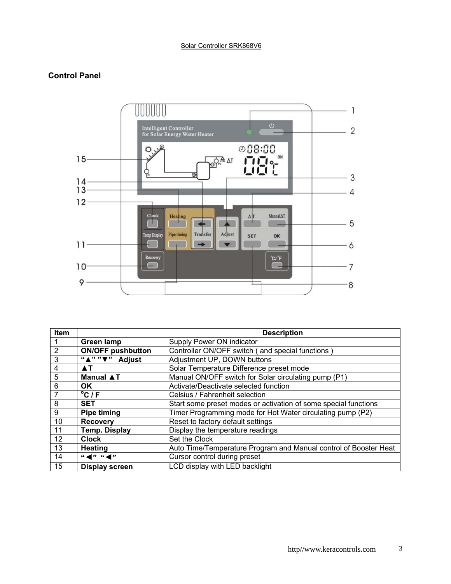## **Control Panel**



| <b>Item</b> |                                                                         | <b>Description</b>                                               |
|-------------|-------------------------------------------------------------------------|------------------------------------------------------------------|
|             | <b>Green lamp</b>                                                       | Supply Power ON indicator                                        |
| 2           | <b>ON/OFF pushbutton</b>                                                | Controller ON/OFF switch (and special functions)                 |
| 3           | " $\overline{N''''}$ " Adjust                                           | Adjustment UP, DOWN buttons                                      |
| 4           | AT.                                                                     | Solar Temperature Difference preset mode                         |
| 5           | <b>Manual ▲T</b>                                                        | Manual ON/OFF switch for Solar circulating pump (P1)             |
| 6           | OK.                                                                     | Activate/Deactivate selected function                            |
|             | $\overline{{}^{\circ}C}/F$                                              | Celsius / Fahrenheit selection                                   |
| 8           | <b>SET</b>                                                              | Start some preset modes or activation of some special functions  |
| 9           | <b>Pipe timing</b>                                                      | Timer Programming mode for Hot Water circulating pump (P2)       |
| 10          | <b>Recovery</b>                                                         | Reset to factory default settings                                |
| 11          | <b>Temp. Display</b>                                                    | Display the temperature readings                                 |
| 12          | <b>Clock</b>                                                            | Set the Clock                                                    |
| 13          | <b>Heating</b>                                                          | Auto Time/Temperature Program and Manual control of Booster Heat |
| 14          | $\mathfrak{m} \blacktriangleleft$ " $\mathfrak{m} \blacktriangleleft$ " | Cursor control during preset                                     |
| 15          | <b>Display screen</b>                                                   | LCD display with LED backlight                                   |